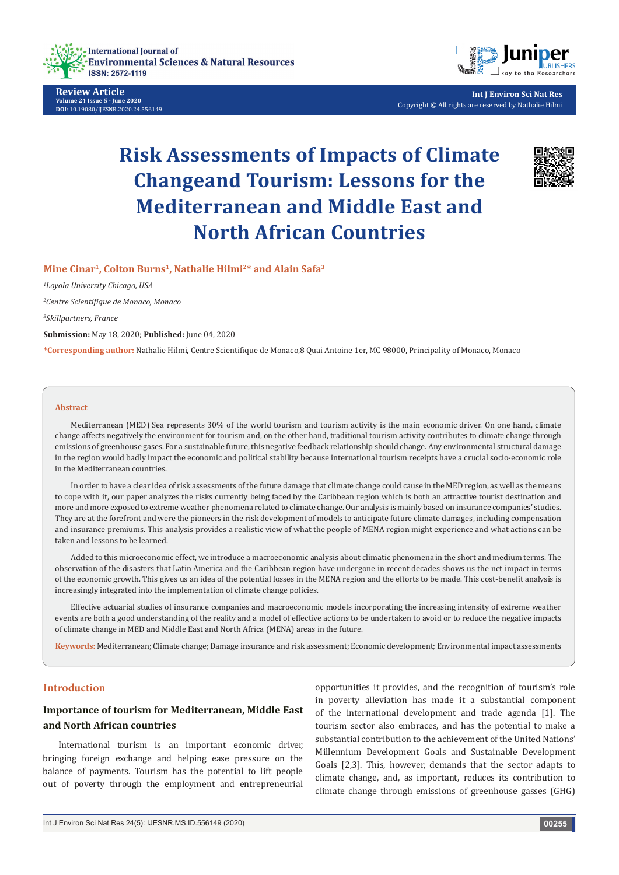

**Review Article Volume 24 Issue 5 - June 2020 DOI**: [10.19080/IJESNR.2020.24.556149](http://dx.doi.org/10.19080/IJESNR.2020.24.556149)



**Int J Environ Sci Nat Res** Copyright © All rights are reserved by Nathalie Hilmi

# **Risk Assessments of Impacts of Climate Changeand Tourism: Lessons for the Mediterranean and Middle East and North African Countries**



## **Mine Cinar1, Colton Burns1, Nathalie Hilmi2\* and Alain Safa3**

*1 Loyola University Chicago, USA*

*2 Centre Scientifique de Monaco, Monaco*

*3 Skillpartners, France*

**Submission:** May 18, 2020; **Published:** June 04, 2020

**\*Corresponding author:** Nathalie Hilmi, Centre Scientifique de Monaco,8 Quai Antoine 1er, MC 98000, Principality of Monaco, Monaco

#### **Abstract**

Mediterranean (MED) Sea represents 30% of the world tourism and tourism activity is the main economic driver. On one hand, climate change affects negatively the environment for tourism and, on the other hand, traditional tourism activity contributes to climate change through emissions of greenhouse gases. For a sustainable future, this negative feedback relationship should change. Any environmental structural damage in the region would badly impact the economic and political stability because international tourism receipts have a crucial socio-economic role in the Mediterranean countries.

In order to have a clear idea of risk assessments of the future damage that climate change could cause in the MED region, as well as the means to cope with it, our paper analyzes the risks currently being faced by the Caribbean region which is both an attractive tourist destination and more and more exposed to extreme weather phenomena related to climate change. Our analysis is mainly based on insurance companies' studies. They are at the forefront and were the pioneers in the risk development of models to anticipate future climate damages, including compensation and insurance premiums. This analysis provides a realistic view of what the people of MENA region might experience and what actions can be taken and lessons to be learned.

Added to this microeconomic effect, we introduce a macroeconomic analysis about climatic phenomena in the short and medium terms. The observation of the disasters that Latin America and the Caribbean region have undergone in recent decades shows us the net impact in terms of the economic growth. This gives us an idea of the potential losses in the MENA region and the efforts to be made. This cost-benefit analysis is increasingly integrated into the implementation of climate change policies.

Effective actuarial studies of insurance companies and macroeconomic models incorporating the increasing intensity of extreme weather events are both a good understanding of the reality and a model of effective actions to be undertaken to avoid or to reduce the negative impacts of climate change in MED and Middle East and North Africa (MENA) areas in the future.

**Keywords:** Mediterranean; Climate change; Damage insurance and risk assessment; Economic development; Environmental impact assessments

## **Introduction**

## **Importance of tourism for Mediterranean, Middle East and North African countries**

International tourism is an important economic driver, bringing foreign exchange and helping ease pressure on the balance of payments. Tourism has the potential to lift people out of poverty through the employment and entrepreneurial opportunities it provides, and the recognition of tourism's role in poverty alleviation has made it a substantial component of the international development and trade agenda [1]. The tourism sector also embraces, and has the potential to make a substantial contribution to the achievement of the United Nations' Millennium Development Goals and Sustainable Development Goals [2,3]. This, however, demands that the sector adapts to climate change, and, as important, reduces its contribution to climate change through emissions of greenhouse gasses (GHG)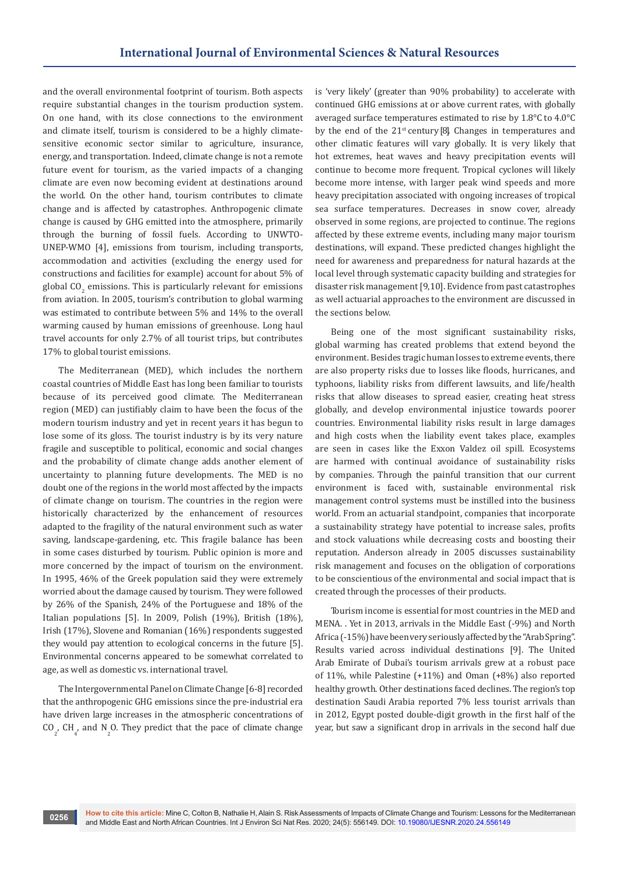and the overall environmental footprint of tourism. Both aspects require substantial changes in the tourism production system. On one hand, with its close connections to the environment and climate itself, tourism is considered to be a highly climatesensitive economic sector similar to agriculture, insurance, energy, and transportation. Indeed, climate change is not a remote future event for tourism, as the varied impacts of a changing climate are even now becoming evident at destinations around the world. On the other hand, tourism contributes to climate change and is affected by catastrophes. Anthropogenic climate change is caused by GHG emitted into the atmosphere, primarily through the burning of fossil fuels. According to UNWTO-UNEP-WMO [4], emissions from tourism, including transports, accommodation and activities (excluding the energy used for constructions and facilities for example) account for about 5% of global  $CO_2$  emissions. This is particularly relevant for emissions from aviation. In 2005, tourism's contribution to global warming was estimated to contribute between 5% and 14% to the overall warming caused by human emissions of greenhouse. Long haul travel accounts for only 2.7% of all tourist trips, but contributes 17% to global tourist emissions.

The Mediterranean (MED), which includes the northern coastal countries of Middle East has long been familiar to tourists because of its perceived good climate. The Mediterranean region (MED) can justifiably claim to have been the focus of the modern tourism industry and yet in recent years it has begun to lose some of its gloss. The tourist industry is by its very nature fragile and susceptible to political, economic and social changes and the probability of climate change adds another element of uncertainty to planning future developments. The MED is no doubt one of the regions in the world most affected by the impacts of climate change on tourism. The countries in the region were historically characterized by the enhancement of resources adapted to the fragility of the natural environment such as water saving, landscape-gardening, etc. This fragile balance has been in some cases disturbed by tourism. Public opinion is more and more concerned by the impact of tourism on the environment. In 1995, 46% of the Greek population said they were extremely worried about the damage caused by tourism. They were followed by 26% of the Spanish, 24% of the Portuguese and 18% of the Italian populations [5]. In 2009, Polish (19%), British (18%), Irish (17%), Slovene and Romanian (16%) respondents suggested they would pay attention to ecological concerns in the future [5]. Environmental concerns appeared to be somewhat correlated to age, as well as domestic vs. international travel.

The Intergovernmental Panel on Climate Change [6-8] recorded that the anthropogenic GHG emissions since the pre-industrial era have driven large increases in the atmospheric concentrations of  $\text{CO}_2$ , CH<sub>4</sub>, and N<sub>2</sub>O. They predict that the pace of climate change is 'very likely' (greater than 90% probability) to accelerate with continued GHG emissions at or above current rates, with globally averaged surface temperatures estimated to rise by 1.8°C to 4.0°C by the end of the 21<sup>st</sup> century [8]. Changes in temperatures and other climatic features will vary globally. It is very likely that hot extremes, heat waves and heavy precipitation events will continue to become more frequent. Tropical cyclones will likely become more intense, with larger peak wind speeds and more heavy precipitation associated with ongoing increases of tropical sea surface temperatures. Decreases in snow cover, already observed in some regions, are projected to continue. The regions affected by these extreme events, including many major tourism destinations, will expand. These predicted changes highlight the need for awareness and preparedness for natural hazards at the local level through systematic capacity building and strategies for disaster risk management [9,10]. Evidence from past catastrophes as well actuarial approaches to the environment are discussed in the sections below.

Being one of the most significant sustainability risks, global warming has created problems that extend beyond the environment. Besides tragic human losses to extreme events, there are also property risks due to losses like floods, hurricanes, and typhoons, liability risks from different lawsuits, and life/health risks that allow diseases to spread easier, creating heat stress globally, and develop environmental injustice towards poorer countries. Environmental liability risks result in large damages and high costs when the liability event takes place, examples are seen in cases like the Exxon Valdez oil spill. Ecosystems are harmed with continual avoidance of sustainability risks by companies. Through the painful transition that our current environment is faced with, sustainable environmental risk management control systems must be instilled into the business world. From an actuarial standpoint, companies that incorporate a sustainability strategy have potential to increase sales, profits and stock valuations while decreasing costs and boosting their reputation. Anderson already in 2005 discusses sustainability risk management and focuses on the obligation of corporations to be conscientious of the environmental and social impact that is created through the processes of their products.

Tourism income is essential for most countries in the MED and MENA. . Yet in 2013, arrivals in the Middle East (-9%) and North Africa (-15%) have been very seriously affected by the "Arab Spring". Results varied across individual destinations [9]. The United Arab Emirate of Dubai's tourism arrivals grew at a robust pace of 11%, while Palestine (+11%) and Oman (+8%) also reported healthy growth. Other destinations faced declines. The region's top destination Saudi Arabia reported 7% less tourist arrivals than in 2012, Egypt posted double-digit growth in the first half of the year, but saw a significant drop in arrivals in the second half due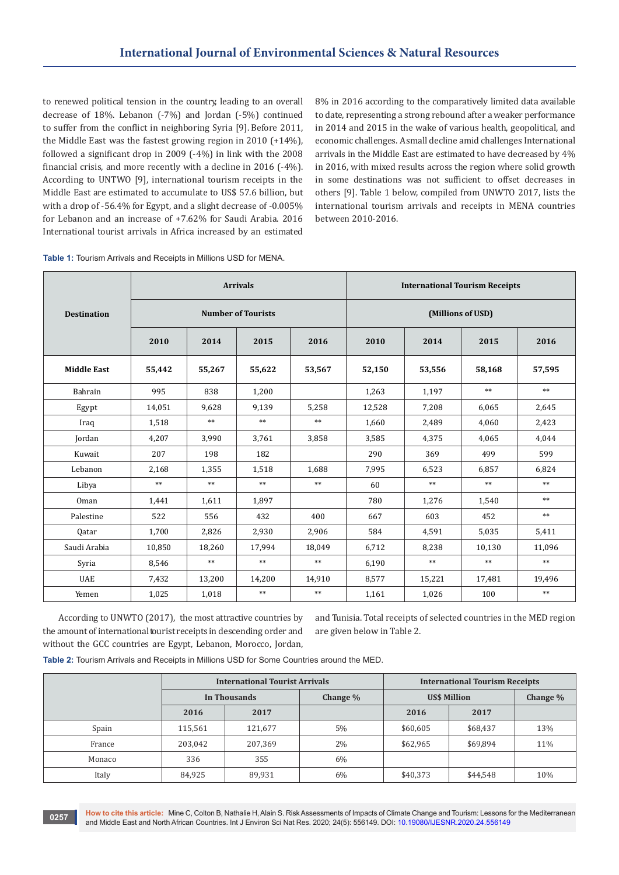to renewed political tension in the country, leading to an overall decrease of 18%. Lebanon (-7%) and Jordan (-5%) continued to suffer from the conflict in neighboring Syria [9]. Before 2011, the Middle East was the fastest growing region in 2010 (+14%), followed a significant drop in 2009 (-4%) in link with the 2008 financial crisis, and more recently with a decline in 2016 (-4%). According to UNTWO [9], international tourism receipts in the Middle East are estimated to accumulate to US\$ 57.6 billion, but with a drop of -56.4% for Egypt, and a slight decrease of -0.005% for Lebanon and an increase of +7.62% for Saudi Arabia. 2016 International tourist arrivals in Africa increased by an estimated

8% in 2016 according to the comparatively limited data available to date, representing a strong rebound after a weaker performance in 2014 and 2015 in the wake of various health, geopolitical, and economic challenges. A small decline amid challenges International arrivals in the Middle East are estimated to have decreased by 4% in 2016, with mixed results across the region where solid growth in some destinations was not sufficient to offset decreases in others [9]. Table 1 below, compiled from UNWTO 2017, lists the international tourism arrivals and receipts in MENA countries between 2010-2016.

|                    |                           |        | <b>Arrivals</b> |        |                   | <b>International Tourism Receipts</b> |            |            |  |
|--------------------|---------------------------|--------|-----------------|--------|-------------------|---------------------------------------|------------|------------|--|
| <b>Destination</b> | <b>Number of Tourists</b> |        |                 |        | (Millions of USD) |                                       |            |            |  |
|                    | 2010                      | 2014   | 2015            | 2016   | 2010              | 2014                                  | 2015       | 2016       |  |
| <b>Middle East</b> | 55,442                    | 55,267 | 55,622          | 53,567 | 52,150            | 53,556                                | 58,168     | 57,595     |  |
| Bahrain            | 995                       | 838    | 1,200           |        | 1,263             | 1,197                                 | $\ast\ast$ | $\ast\ast$ |  |
| Egypt              | 14,051                    | 9,628  | 9,139           | 5,258  | 12,528            | 7,208                                 | 6,065      | 2,645      |  |
| Iraq               | 1,518                     | $**$   | $\ast\ast$      | $**$   | 1,660             | 2,489                                 | 4,060      | 2,423      |  |
| Jordan             | 4,207                     | 3,990  | 3,761           | 3,858  | 3,585             | 4,375                                 | 4,065      | 4,044      |  |
| Kuwait             | 207                       | 198    | 182             |        | 290               | 369                                   | 499        | 599        |  |
| Lebanon            | 2,168                     | 1,355  | 1,518           | 1,688  | 7,995             | 6,523                                 | 6,857      | 6,824      |  |
| Libya              | $**$                      | $**$   | $**$            | $**$   | 60                | $**$                                  | $**$       | $\ast\ast$ |  |
| Oman               | 1,441                     | 1,611  | 1,897           |        | 780               | 1,276                                 | 1,540      | $**$       |  |
| Palestine          | 522                       | 556    | 432             | 400    | 667               | 603                                   | 452        | $\ast\ast$ |  |
| Qatar              | 1,700                     | 2,826  | 2,930           | 2,906  | 584               | 4,591                                 | 5,035      | 5,411      |  |
| Saudi Arabia       | 10,850                    | 18,260 | 17,994          | 18,049 | 6,712             | 8,238                                 | 10,130     | 11,096     |  |
| Syria              | 8,546                     | $**$   | $**$            | $**$   | 6,190             | $**$                                  | $**$       | $\ast\ast$ |  |
| <b>UAE</b>         | 7,432                     | 13,200 | 14,200          | 14,910 | 8,577             | 15,221                                | 17,481     | 19,496     |  |
| Yemen              | 1,025                     | 1,018  | $**$            | $**$   | 1,161             | 1,026                                 | 100        | $**$       |  |

**Table 1:** Tourism Arrivals and Receipts in Millions USD for MENA.

According to UNWTO (2017), the most attractive countries by the amount of international tourist receipts in descending order and without the GCC countries are Egypt, Lebanon, Morocco, Jordan,

and Tunisia. Total receipts of selected countries in the MED region are given below in Table 2.

**Table 2:** Tourism Arrivals and Receipts in Millions USD for Some Countries around the MED.

|        |              | <b>International Tourist Arrivals</b> |             | <b>International Tourism Receipts</b> |          |             |  |
|--------|--------------|---------------------------------------|-------------|---------------------------------------|----------|-------------|--|
|        | In Thousands |                                       | Change $\%$ | <b>US\$ Million</b>                   |          | Change $\%$ |  |
|        | 2016         | 2017                                  |             | 2016                                  | 2017     |             |  |
| Spain  | 115,561      | 121,677                               | $5\%$       | \$60,605                              | \$68,437 | 13%         |  |
| France | 203,042      | 207,369                               | 2%          | \$62,965                              | \$69,894 | 11%         |  |
| Monaco | 336          | 355                                   | 6%          |                                       |          |             |  |
| Italy  | 84,925       | 89,931                                | 6%          | \$40,373                              | \$44,548 | 10%         |  |

**How to cite this article:** Mine C, Colton B, Nathalie H, Alain S. Risk Assessments of Impacts of Climate Change and Tourism: Lessons for the Mediterranean and Middle East and North African Countries. Int J Environ Sci Nat Res. 2020; 24(5): 556149. DOI: [10.19080/IJESNR.2020.24.5561](http://dx.doi.org/10.19080/IJESNR.2020.24.556149)49 **and Middle East and North African Countries.** Int J Environ Sci Nat Res. 2020; 24(5): 556149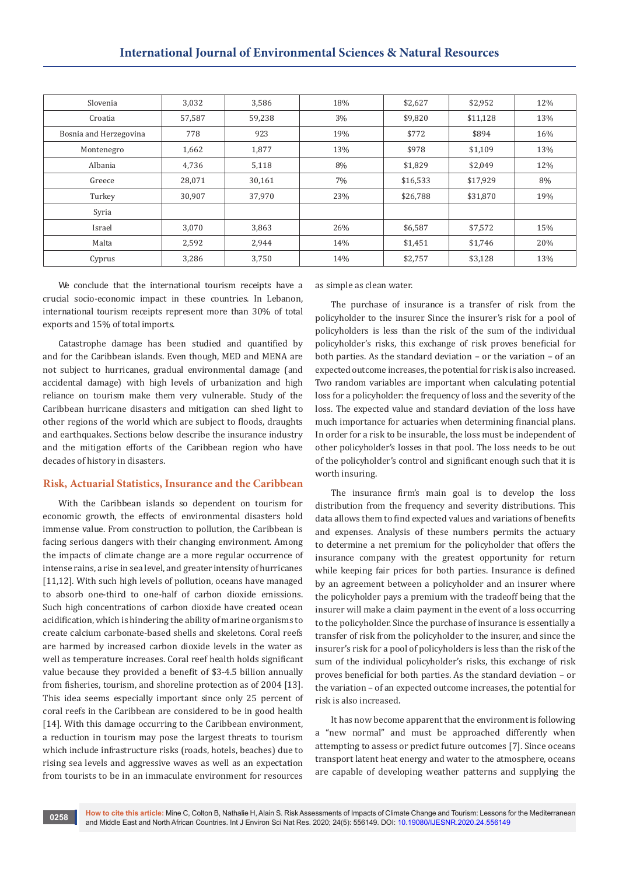| Slovenia               | 3,032  | 3,586  | 18% | \$2,627  | \$2,952  | 12% |
|------------------------|--------|--------|-----|----------|----------|-----|
| Croatia                | 57,587 | 59,238 | 3%  | \$9,820  | \$11,128 | 13% |
| Bosnia and Herzegovina | 778    | 923    | 19% | \$772    | \$894    | 16% |
| Montenegro             | 1,662  | 1,877  | 13% | \$978    | \$1,109  | 13% |
| Albania                | 4,736  | 5,118  | 8%  | \$1,829  | \$2,049  | 12% |
| Greece                 | 28,071 | 30,161 | 7%  | \$16,533 | \$17,929 | 8%  |
| Turkey                 | 30,907 | 37,970 | 23% | \$26,788 | \$31,870 | 19% |
| Syria                  |        |        |     |          |          |     |
| Israel                 | 3,070  | 3,863  | 26% | \$6,587  | \$7,572  | 15% |
| Malta                  | 2,592  | 2,944  | 14% | \$1,451  | \$1,746  | 20% |
| Cyprus                 | 3,286  | 3,750  | 14% | \$2,757  | \$3,128  | 13% |

We conclude that the international tourism receipts have a crucial socio-economic impact in these countries. In Lebanon, international tourism receipts represent more than 30% of total exports and 15% of total imports.

Catastrophe damage has been studied and quantified by and for the Caribbean islands. Even though, MED and MENA are not subject to hurricanes, gradual environmental damage (and accidental damage) with high levels of urbanization and high reliance on tourism make them very vulnerable. Study of the Caribbean hurricane disasters and mitigation can shed light to other regions of the world which are subject to floods, draughts and earthquakes. Sections below describe the insurance industry and the mitigation efforts of the Caribbean region who have decades of history in disasters.

## **Risk, Actuarial Statistics, Insurance and the Caribbean**

With the Caribbean islands so dependent on tourism for economic growth, the effects of environmental disasters hold immense value. From construction to pollution, the Caribbean is facing serious dangers with their changing environment. Among the impacts of climate change are a more regular occurrence of intense rains, a rise in sea level, and greater intensity of hurricanes [11,12]. With such high levels of pollution, oceans have managed to absorb one-third to one-half of carbon dioxide emissions. Such high concentrations of carbon dioxide have created ocean acidification, which is hindering the ability of marine organisms to create calcium carbonate-based shells and skeletons. Coral reefs are harmed by increased carbon dioxide levels in the water as well as temperature increases. Coral reef health holds significant value because they provided a benefit of \$3-4.5 billion annually from fisheries, tourism, and shoreline protection as of 2004 [13]. This idea seems especially important since only 25 percent of coral reefs in the Caribbean are considered to be in good health [14]. With this damage occurring to the Caribbean environment, a reduction in tourism may pose the largest threats to tourism which include infrastructure risks (roads, hotels, beaches) due to rising sea levels and aggressive waves as well as an expectation from tourists to be in an immaculate environment for resources

as simple as clean water.

The purchase of insurance is a transfer of risk from the policyholder to the insurer. Since the insurer's risk for a pool of policyholders is less than the risk of the sum of the individual policyholder's risks, this exchange of risk proves beneficial for both parties. As the standard deviation – or the variation – of an expected outcome increases, the potential for risk is also increased. Two random variables are important when calculating potential loss for a policyholder: the frequency of loss and the severity of the loss. The expected value and standard deviation of the loss have much importance for actuaries when determining financial plans. In order for a risk to be insurable, the loss must be independent of other policyholder's losses in that pool. The loss needs to be out of the policyholder's control and significant enough such that it is worth insuring.

The insurance firm's main goal is to develop the loss distribution from the frequency and severity distributions. This data allows them to find expected values and variations of benefits and expenses. Analysis of these numbers permits the actuary to determine a net premium for the policyholder that offers the insurance company with the greatest opportunity for return while keeping fair prices for both parties. Insurance is defined by an agreement between a policyholder and an insurer where the policyholder pays a premium with the tradeoff being that the insurer will make a claim payment in the event of a loss occurring to the policyholder. Since the purchase of insurance is essentially a transfer of risk from the policyholder to the insurer, and since the insurer's risk for a pool of policyholders is less than the risk of the sum of the individual policyholder's risks, this exchange of risk proves beneficial for both parties. As the standard deviation – or the variation – of an expected outcome increases, the potential for risk is also increased.

It has now become apparent that the environment is following a "new normal" and must be approached differently when attempting to assess or predict future outcomes [7]. Since oceans transport latent heat energy and water to the atmosphere, oceans are capable of developing weather patterns and supplying the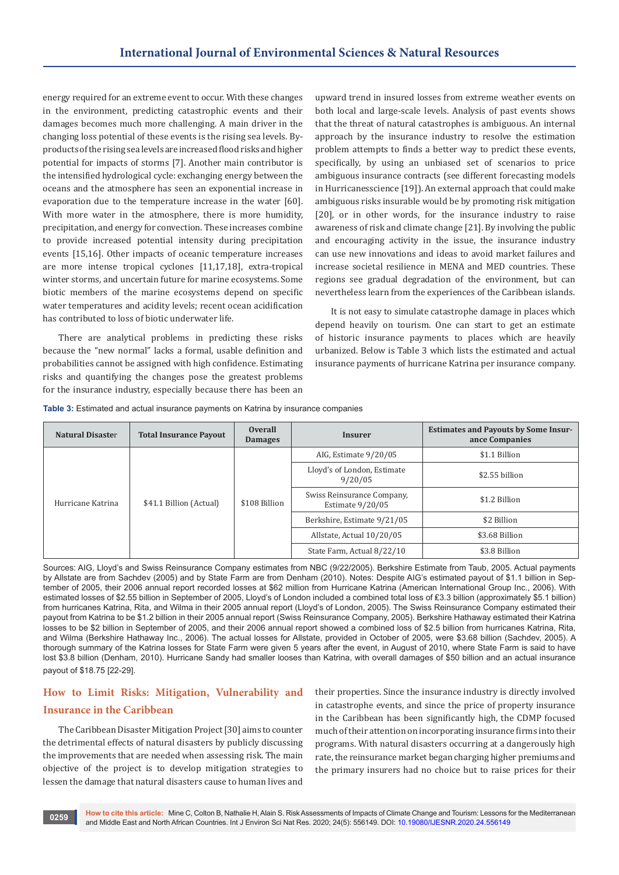energy required for an extreme event to occur. With these changes in the environment, predicting catastrophic events and their damages becomes much more challenging. A main driver in the changing loss potential of these events is the rising sea levels. Byproducts of the rising sea levels are increased flood risks and higher potential for impacts of storms [7]. Another main contributor is the intensified hydrological cycle: exchanging energy between the oceans and the atmosphere has seen an exponential increase in evaporation due to the temperature increase in the water [60]. With more water in the atmosphere, there is more humidity, precipitation, and energy for convection. These increases combine to provide increased potential intensity during precipitation events [15,16]. Other impacts of oceanic temperature increases are more intense tropical cyclones [11,17,18], extra-tropical winter storms, and uncertain future for marine ecosystems. Some biotic members of the marine ecosystems depend on specific water temperatures and acidity levels; recent ocean acidification has contributed to loss of biotic underwater life.

There are analytical problems in predicting these risks because the "new normal" lacks a formal, usable definition and probabilities cannot be assigned with high confidence. Estimating risks and quantifying the changes pose the greatest problems for the insurance industry, especially because there has been an

upward trend in insured losses from extreme weather events on both local and large-scale levels. Analysis of past events shows that the threat of natural catastrophes is ambiguous. An internal approach by the insurance industry to resolve the estimation problem attempts to finds a better way to predict these events, specifically, by using an unbiased set of scenarios to price ambiguous insurance contracts (see different forecasting models in Hurricanesscience [19]). An external approach that could make ambiguous risks insurable would be by promoting risk mitigation [20], or in other words, for the insurance industry to raise awareness of risk and climate change [21]. By involving the public and encouraging activity in the issue, the insurance industry can use new innovations and ideas to avoid market failures and increase societal resilience in MENA and MED countries. These regions see gradual degradation of the environment, but can nevertheless learn from the experiences of the Caribbean islands.

It is not easy to simulate catastrophe damage in places which depend heavily on tourism. One can start to get an estimate of historic insurance payments to places which are heavily urbanized. Below is Table 3 which lists the estimated and actual insurance payments of hurricane Katrina per insurance company.

**Table 3:** Estimated and actual insurance payments on Katrina by insurance companies

| <b>Natural Disaster</b> | <b>Total Insurance Payout</b> | <b>Overall</b><br><b>Damages</b> | <b>Insurer</b>                                   | <b>Estimates and Payouts by Some Insur-</b><br>ance Companies |
|-------------------------|-------------------------------|----------------------------------|--------------------------------------------------|---------------------------------------------------------------|
| Hurricane Katrina       |                               |                                  | AIG, Estimate 9/20/05                            | \$1.1 Billion                                                 |
|                         |                               |                                  | Lloyd's of London, Estimate<br>9/20/05           | \$2.55 billion                                                |
|                         | \$41.1 Billion (Actual)       | \$108 Billion                    | Swiss Reinsurance Company,<br>Estimate $9/20/05$ | \$1.2 Billion                                                 |
|                         |                               |                                  | Berkshire, Estimate 9/21/05                      | \$2 Billion                                                   |
|                         |                               |                                  | Allstate, Actual 10/20/05                        | \$3.68 Billion                                                |
|                         |                               |                                  | State Farm, Actual 8/22/10                       | \$3.8 Billion                                                 |

Sources: AIG, Lloyd's and Swiss Reinsurance Company estimates from NBC (9/22/2005). Berkshire Estimate from Taub, 2005. Actual payments by Allstate are from Sachdev (2005) and by State Farm are from Denham (2010). Notes: Despite AIG's estimated payout of \$1.1 billion in September of 2005, their 2006 annual report recorded losses at \$62 million from Hurricane Katrina (American International Group Inc., 2006). With estimated losses of \$2.55 billion in September of 2005, Lloyd's of London included a combined total loss of ₤3.3 billion (approximately \$5.1 billion) from hurricanes Katrina, Rita, and Wilma in their 2005 annual report (Lloyd's of London, 2005). The Swiss Reinsurance Company estimated their payout from Katrina to be \$1.2 billion in their 2005 annual report (Swiss Reinsurance Company, 2005). Berkshire Hathaway estimated their Katrina losses to be \$2 billion in September of 2005, and their 2006 annual report showed a combined loss of \$2.5 billion from hurricanes Katrina, Rita, and Wilma (Berkshire Hathaway Inc., 2006). The actual losses for Allstate, provided in October of 2005, were \$3.68 billion (Sachdev, 2005). A thorough summary of the Katrina losses for State Farm were given 5 years after the event, in August of 2010, where State Farm is said to have lost \$3.8 billion (Denham, 2010). Hurricane Sandy had smaller looses than Katrina, with overall damages of \$50 billion and an actual insurance payout of \$18.75 [22-29].

# **How to Limit Risks: Mitigation, Vulnerability and Insurance in the Caribbean**

The Caribbean Disaster Mitigation Project [30] aims to counter the detrimental effects of natural disasters by publicly discussing the improvements that are needed when assessing risk. The main objective of the project is to develop mitigation strategies to lessen the damage that natural disasters cause to human lives and

their properties. Since the insurance industry is directly involved in catastrophe events, and since the price of property insurance in the Caribbean has been significantly high, the CDMP focused much of their attention on incorporating insurance firms into their programs. With natural disasters occurring at a dangerously high rate, the reinsurance market began charging higher premiums and the primary insurers had no choice but to raise prices for their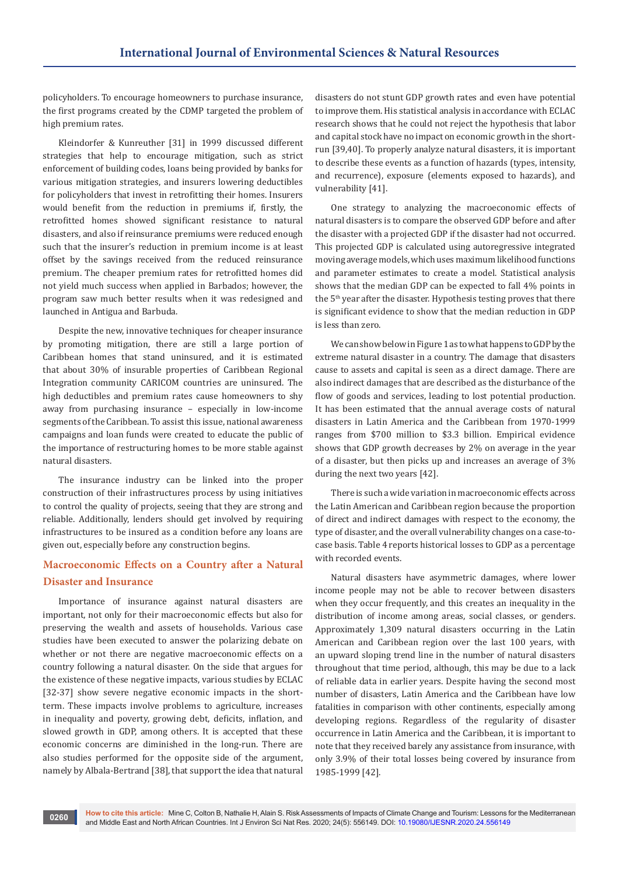policyholders. To encourage homeowners to purchase insurance, the first programs created by the CDMP targeted the problem of high premium rates.

Kleindorfer & Kunreuther [31] in 1999 discussed different strategies that help to encourage mitigation, such as strict enforcement of building codes, loans being provided by banks for various mitigation strategies, and insurers lowering deductibles for policyholders that invest in retrofitting their homes. Insurers would benefit from the reduction in premiums if, firstly, the retrofitted homes showed significant resistance to natural disasters, and also if reinsurance premiums were reduced enough such that the insurer's reduction in premium income is at least offset by the savings received from the reduced reinsurance premium. The cheaper premium rates for retrofitted homes did not yield much success when applied in Barbados; however, the program saw much better results when it was redesigned and launched in Antigua and Barbuda.

Despite the new, innovative techniques for cheaper insurance by promoting mitigation, there are still a large portion of Caribbean homes that stand uninsured, and it is estimated that about 30% of insurable properties of Caribbean Regional Integration community CARICOM countries are uninsured. The high deductibles and premium rates cause homeowners to shy away from purchasing insurance – especially in low-income segments of the Caribbean. To assist this issue, national awareness campaigns and loan funds were created to educate the public of the importance of restructuring homes to be more stable against natural disasters.

The insurance industry can be linked into the proper construction of their infrastructures process by using initiatives to control the quality of projects, seeing that they are strong and reliable. Additionally, lenders should get involved by requiring infrastructures to be insured as a condition before any loans are given out, especially before any construction begins.

## **Macroeconomic Effects on a Country after a Natural Disaster and Insurance**

Importance of insurance against natural disasters are important, not only for their macroeconomic effects but also for preserving the wealth and assets of households. Various case studies have been executed to answer the polarizing debate on whether or not there are negative macroeconomic effects on a country following a natural disaster. On the side that argues for the existence of these negative impacts, various studies by ECLAC [32-37] show severe negative economic impacts in the shortterm. These impacts involve problems to agriculture, increases in inequality and poverty, growing debt, deficits, inflation, and slowed growth in GDP, among others. It is accepted that these economic concerns are diminished in the long-run. There are also studies performed for the opposite side of the argument, namely by Albala-Bertrand [38], that support the idea that natural

disasters do not stunt GDP growth rates and even have potential to improve them. His statistical analysis in accordance with ECLAC research shows that he could not reject the hypothesis that labor and capital stock have no impact on economic growth in the shortrun [39,40]. To properly analyze natural disasters, it is important to describe these events as a function of hazards (types, intensity, and recurrence), exposure (elements exposed to hazards), and vulnerability [41].

One strategy to analyzing the macroeconomic effects of natural disasters is to compare the observed GDP before and after the disaster with a projected GDP if the disaster had not occurred. This projected GDP is calculated using autoregressive integrated moving average models, which uses maximum likelihood functions and parameter estimates to create a model. Statistical analysis shows that the median GDP can be expected to fall 4% points in the 5th year after the disaster. Hypothesis testing proves that there is significant evidence to show that the median reduction in GDP is less than zero.

We can show below in Figure 1 as to what happens to GDP by the extreme natural disaster in a country. The damage that disasters cause to assets and capital is seen as a direct damage. There are also indirect damages that are described as the disturbance of the flow of goods and services, leading to lost potential production. It has been estimated that the annual average costs of natural disasters in Latin America and the Caribbean from 1970-1999 ranges from \$700 million to \$3.3 billion. Empirical evidence shows that GDP growth decreases by 2% on average in the year of a disaster, but then picks up and increases an average of 3% during the next two years [42].

There is such a wide variation in macroeconomic effects across the Latin American and Caribbean region because the proportion of direct and indirect damages with respect to the economy, the type of disaster, and the overall vulnerability changes on a case-tocase basis. Table 4 reports historical losses to GDP as a percentage with recorded events.

Natural disasters have asymmetric damages, where lower income people may not be able to recover between disasters when they occur frequently, and this creates an inequality in the distribution of income among areas, social classes, or genders. Approximately 1,309 natural disasters occurring in the Latin American and Caribbean region over the last 100 years, with an upward sloping trend line in the number of natural disasters throughout that time period, although, this may be due to a lack of reliable data in earlier years. Despite having the second most number of disasters, Latin America and the Caribbean have low fatalities in comparison with other continents, especially among developing regions. Regardless of the regularity of disaster occurrence in Latin America and the Caribbean, it is important to note that they received barely any assistance from insurance, with only 3.9% of their total losses being covered by insurance from 1985-1999 [42].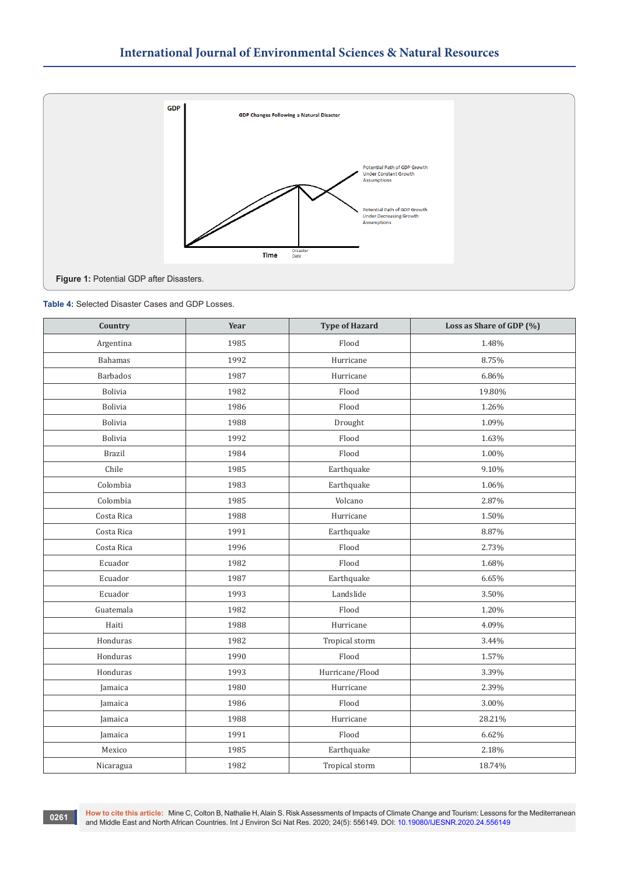

#### **Table 4:** Selected Disaster Cases and GDP Losses.

| Country         | Year | <b>Type of Hazard</b> | Loss as Share of GDP (%) |
|-----------------|------|-----------------------|--------------------------|
| Argentina       | 1985 | Flood                 | 1.48%                    |
| <b>Bahamas</b>  | 1992 | Hurricane             | 8.75%                    |
| <b>Barbados</b> | 1987 | Hurricane             | 6.86%                    |
| Bolivia         | 1982 | Flood                 | 19.80%                   |
| Bolivia         | 1986 | Flood                 | 1.26%                    |
| Bolivia         | 1988 | Drought               | 1.09%                    |
| Bolivia         | 1992 | Flood                 | 1.63%                    |
| <b>Brazil</b>   | 1984 | Flood                 | 1.00%                    |
| Chile           | 1985 | Earthquake            | 9.10%                    |
| Colombia        | 1983 | Earthquake            | 1.06%                    |
| Colombia        | 1985 | Volcano               | 2.87%                    |
| Costa Rica      | 1988 | Hurricane             | 1.50%                    |
| Costa Rica      | 1991 | Earthquake            | 8.87%                    |
| Costa Rica      | 1996 | Flood                 | 2.73%                    |
| Ecuador         | 1982 | Flood                 | 1.68%                    |
| Ecuador         | 1987 | Earthquake            | 6.65%                    |
| Ecuador         | 1993 | Landslide             | 3.50%                    |
| Guatemala       | 1982 | Flood                 | 1.20%                    |
| Haiti           | 1988 | Hurricane             | 4.09%                    |
| Honduras        | 1982 | Tropical storm        | 3.44%                    |
| Honduras        | 1990 | Flood                 | 1.57%                    |
| Honduras        | 1993 | Hurricane/Flood       | 3.39%                    |
| Jamaica         | 1980 | Hurricane             | 2.39%                    |
| Jamaica         | 1986 | Flood                 | 3.00%                    |
| Jamaica         | 1988 | Hurricane             | 28.21%                   |
| Jamaica         | 1991 | Flood                 | 6.62%                    |
| Mexico          | 1985 | Earthquake            | 2.18%                    |
| Nicaragua       | 1982 | Tropical storm        | 18.74%                   |

**How to cite this article:** Mine C, Colton B, Nathalie H, Alain S. Risk Assessments of Impacts of Climate Change and Tourism: Lessons for the Mediterranean and Middle East and North African Countries. Int J Environ Sci Nat Res. 2020; 24(5): 556149. DOI: 10.19080/IJESNR<br>356149 and Middle East and North African Countries. Int J Environ Sci Nat Res. 2020; 24(5): 556149. DOI: 10.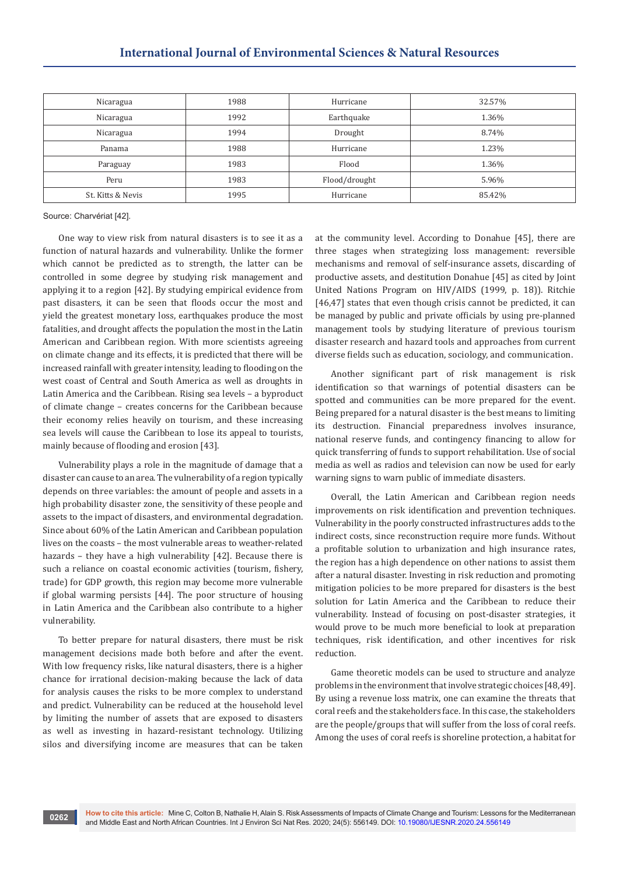| Nicaragua                 | 1988                  | Hurricane  | 32.57% |  |
|---------------------------|-----------------------|------------|--------|--|
| Nicaragua                 | 1992                  | Earthquake | 1.36%  |  |
| Nicaragua                 | 1994                  | Drought    | 8.74%  |  |
| Panama                    | 1988                  | Hurricane  | 1.23%  |  |
| 1983<br>Paraguay          |                       | Flood      | 1.36%  |  |
| Peru                      | 1983<br>Flood/drought |            | 5.96%  |  |
| 1995<br>St. Kitts & Nevis |                       | Hurricane  | 85.42% |  |

Source: Charvériat [42].

One way to view risk from natural disasters is to see it as a function of natural hazards and vulnerability. Unlike the former which cannot be predicted as to strength, the latter can be controlled in some degree by studying risk management and applying it to a region [42]. By studying empirical evidence from past disasters, it can be seen that floods occur the most and yield the greatest monetary loss, earthquakes produce the most fatalities, and drought affects the population the most in the Latin American and Caribbean region. With more scientists agreeing on climate change and its effects, it is predicted that there will be increased rainfall with greater intensity, leading to flooding on the west coast of Central and South America as well as droughts in Latin America and the Caribbean. Rising sea levels – a byproduct of climate change – creates concerns for the Caribbean because their economy relies heavily on tourism, and these increasing sea levels will cause the Caribbean to lose its appeal to tourists, mainly because of flooding and erosion [43].

Vulnerability plays a role in the magnitude of damage that a disaster can cause to an area. The vulnerability of a region typically depends on three variables: the amount of people and assets in a high probability disaster zone, the sensitivity of these people and assets to the impact of disasters, and environmental degradation. Since about 60% of the Latin American and Caribbean population lives on the coasts – the most vulnerable areas to weather-related hazards – they have a high vulnerability [42]. Because there is such a reliance on coastal economic activities (tourism, fishery, trade) for GDP growth, this region may become more vulnerable if global warming persists [44]. The poor structure of housing in Latin America and the Caribbean also contribute to a higher vulnerability.

To better prepare for natural disasters, there must be risk management decisions made both before and after the event. With low frequency risks, like natural disasters, there is a higher chance for irrational decision-making because the lack of data for analysis causes the risks to be more complex to understand and predict. Vulnerability can be reduced at the household level by limiting the number of assets that are exposed to disasters as well as investing in hazard-resistant technology. Utilizing silos and diversifying income are measures that can be taken

at the community level. According to Donahue [45], there are three stages when strategizing loss management: reversible mechanisms and removal of self-insurance assets, discarding of productive assets, and destitution Donahue [45] as cited by Joint United Nations Program on HIV/AIDS (1999, p. 18)). Ritchie [46,47] states that even though crisis cannot be predicted, it can be managed by public and private officials by using pre-planned management tools by studying literature of previous tourism disaster research and hazard tools and approaches from current diverse fields such as education, sociology, and communication.

Another significant part of risk management is risk identification so that warnings of potential disasters can be spotted and communities can be more prepared for the event. Being prepared for a natural disaster is the best means to limiting its destruction. Financial preparedness involves insurance, national reserve funds, and contingency financing to allow for quick transferring of funds to support rehabilitation. Use of social media as well as radios and television can now be used for early warning signs to warn public of immediate disasters.

Overall, the Latin American and Caribbean region needs improvements on risk identification and prevention techniques. Vulnerability in the poorly constructed infrastructures adds to the indirect costs, since reconstruction require more funds. Without a profitable solution to urbanization and high insurance rates, the region has a high dependence on other nations to assist them after a natural disaster. Investing in risk reduction and promoting mitigation policies to be more prepared for disasters is the best solution for Latin America and the Caribbean to reduce their vulnerability. Instead of focusing on post-disaster strategies, it would prove to be much more beneficial to look at preparation techniques, risk identification, and other incentives for risk reduction.

Game theoretic models can be used to structure and analyze problems in the environment that involve strategic choices [48,49]. By using a revenue loss matrix, one can examine the threats that coral reefs and the stakeholders face. In this case, the stakeholders are the people/groups that will suffer from the loss of coral reefs. Among the uses of coral reefs is shoreline protection, a habitat for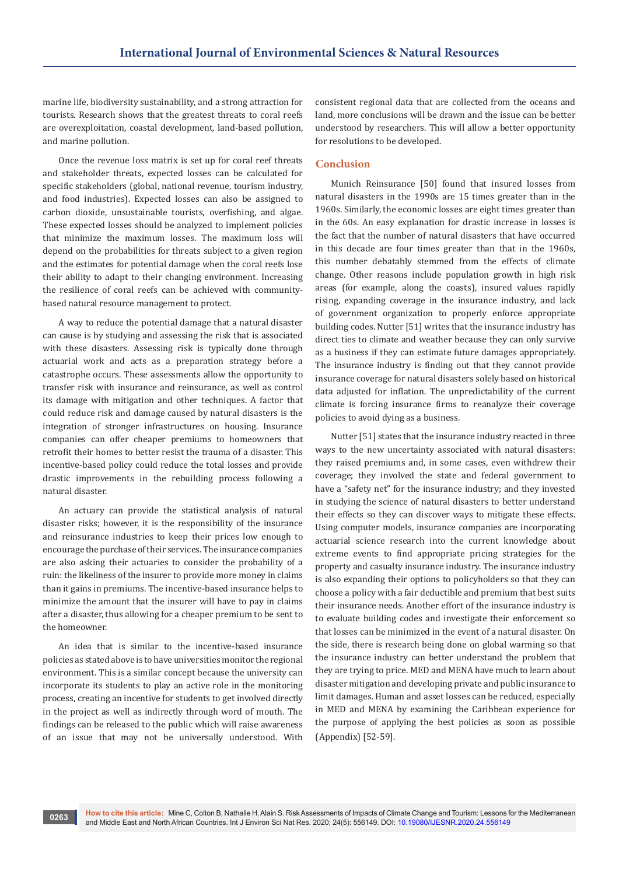marine life, biodiversity sustainability, and a strong attraction for tourists. Research shows that the greatest threats to coral reefs are overexploitation, coastal development, land-based pollution, and marine pollution.

Once the revenue loss matrix is set up for coral reef threats and stakeholder threats, expected losses can be calculated for specific stakeholders (global, national revenue, tourism industry, and food industries). Expected losses can also be assigned to carbon dioxide, unsustainable tourists, overfishing, and algae. These expected losses should be analyzed to implement policies that minimize the maximum losses. The maximum loss will depend on the probabilities for threats subject to a given region and the estimates for potential damage when the coral reefs lose their ability to adapt to their changing environment. Increasing the resilience of coral reefs can be achieved with communitybased natural resource management to protect.

A way to reduce the potential damage that a natural disaster can cause is by studying and assessing the risk that is associated with these disasters. Assessing risk is typically done through actuarial work and acts as a preparation strategy before a catastrophe occurs. These assessments allow the opportunity to transfer risk with insurance and reinsurance, as well as control its damage with mitigation and other techniques. A factor that could reduce risk and damage caused by natural disasters is the integration of stronger infrastructures on housing. Insurance companies can offer cheaper premiums to homeowners that retrofit their homes to better resist the trauma of a disaster. This incentive-based policy could reduce the total losses and provide drastic improvements in the rebuilding process following a natural disaster.

An actuary can provide the statistical analysis of natural disaster risks; however, it is the responsibility of the insurance and reinsurance industries to keep their prices low enough to encourage the purchase of their services. The insurance companies are also asking their actuaries to consider the probability of a ruin: the likeliness of the insurer to provide more money in claims than it gains in premiums. The incentive-based insurance helps to minimize the amount that the insurer will have to pay in claims after a disaster, thus allowing for a cheaper premium to be sent to the homeowner.

An idea that is similar to the incentive-based insurance policies as stated above is to have universities monitor the regional environment. This is a similar concept because the university can incorporate its students to play an active role in the monitoring process, creating an incentive for students to get involved directly in the project as well as indirectly through word of mouth. The findings can be released to the public which will raise awareness of an issue that may not be universally understood. With

consistent regional data that are collected from the oceans and land, more conclusions will be drawn and the issue can be better understood by researchers. This will allow a better opportunity for resolutions to be developed.

## **Conclusion**

Munich Reinsurance [50] found that insured losses from natural disasters in the 1990s are 15 times greater than in the 1960s. Similarly, the economic losses are eight times greater than in the 60s. An easy explanation for drastic increase in losses is the fact that the number of natural disasters that have occurred in this decade are four times greater than that in the 1960s, this number debatably stemmed from the effects of climate change. Other reasons include population growth in high risk areas (for example, along the coasts), insured values rapidly rising, expanding coverage in the insurance industry, and lack of government organization to properly enforce appropriate building codes. Nutter [51] writes that the insurance industry has direct ties to climate and weather because they can only survive as a business if they can estimate future damages appropriately. The insurance industry is finding out that they cannot provide insurance coverage for natural disasters solely based on historical data adjusted for inflation. The unpredictability of the current climate is forcing insurance firms to reanalyze their coverage policies to avoid dying as a business.

Nutter [51] states that the insurance industry reacted in three ways to the new uncertainty associated with natural disasters: they raised premiums and, in some cases, even withdrew their coverage; they involved the state and federal government to have a "safety net" for the insurance industry; and they invested in studying the science of natural disasters to better understand their effects so they can discover ways to mitigate these effects. Using computer models, insurance companies are incorporating actuarial science research into the current knowledge about extreme events to find appropriate pricing strategies for the property and casualty insurance industry. The insurance industry is also expanding their options to policyholders so that they can choose a policy with a fair deductible and premium that best suits their insurance needs. Another effort of the insurance industry is to evaluate building codes and investigate their enforcement so that losses can be minimized in the event of a natural disaster. On the side, there is research being done on global warming so that the insurance industry can better understand the problem that they are trying to price. MED and MENA have much to learn about disaster mitigation and developing private and public insurance to limit damages. Human and asset losses can be reduced, especially in MED and MENA by examining the Caribbean experience for the purpose of applying the best policies as soon as possible (Appendix) [52-59].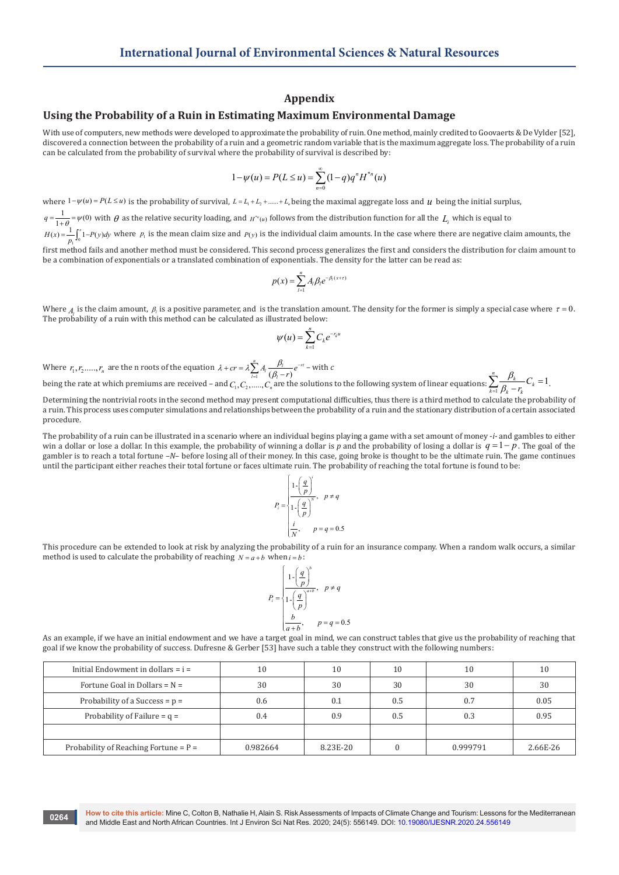## **Appendix**

## **Using the Probability of a Ruin in Estimating Maximum Environmental Damage**

With use of computers, new methods were developed to approximate the probability of ruin. One method, mainly credited to Goovaerts & De Vylder [52], discovered a connection between the probability of a ruin and a geometric random variable that is the maximum aggregate loss. The probability of a ruin can be calculated from the probability of survival where the probability of survival is described by:

$$
1 - \psi(u) = P(L \le u) = \sum_{n=0}^{\infty} (1 - q) q^{n} H^{*n}(u)
$$

where  $1 - \psi(u) = P(L \le u)$  is the probability of survival,  $L = L_1 + L_2 + \dots + L_n$  being the maximal aggregate loss and *u* being the initial surplus,

 $q = \frac{1}{1 + \theta} = \psi(0)$  with  $\theta$  as the relative security loading, and  $H^*(u)$  follows from the distribution function for all the  $L_i$  which is equal to

 $H(x) = \frac{1}{p_1} \int_0^x 1 - P(y) dy$  where  $p_1$  is the mean claim size and  $P(y)$  is the individual claim amounts. In the case where there are negative claim amounts, the

first method fails and another method must be considered. This second process generalizes the first and considers the distribution for claim amount to be a combination of exponentials or a translated combination of exponentials. The density for the latter can be read as:

$$
p(x) = \sum_{l=1}^n A_l \beta_l e^{-\beta_l (x+\tau)}
$$

Where  $A_j$  is the claim amount,  $\beta_i$  is a positive parameter, and is the translation amount. The density for the former is simply a special case where  $\tau = 0$ . The probability of a ruin with this method can be calculated as illustrated below:

$$
\psi(u)=\sum_{k=1}^n C_k e^{-r_k u}
$$

Where  $r_1, r_2, \ldots, r_n$  are the n roots of the equation  $\lambda + cr = \lambda \sum_{l=1}^n A_l \frac{P_l}{(\beta_l - r)}$  $\lambda + cr = \lambda \sum_{l=1}^{n} A_l \frac{\beta_l}{(\beta_l - r)} e^{-rt}$  $+ cr = \lambda \sum_{l=1} A_l \frac{P_l}{(\beta_l - r)} e^{-rt}$  – with c being the rate at which premiums are received – and  $C_1, C_2, \ldots, C_n$  are the solutions to the following system of linear equations:  $\sum_{k=1}^n \frac{\beta_k}{\beta_k - r_k} C_k = 1$ .

Determining the nontrivial roots in the second method may present computational difficulties, thus there is a third method to calculate the probability of a ruin. This process uses computer simulations and relationships between the probability of a ruin and the stationary distribution of a certain associated procedure.

The probability of a ruin can be illustrated in a scenario where an individual begins playing a game with a set amount of money -*i*- and gambles to either win a dollar or lose a dollar. In this example, the probability of winning a dollar is *p* and the probability of losing a dollar is  $q = 1 - p$ . The goal of the gambler is to reach a total fortune –*N*– before losing all of their money. In this case, going broke is thought to be the ultimate ruin. The game continues until the participant either reaches their total fortune or faces ultimate ruin. The probability of reaching the total fortune is found to be:

$$
P_i = \begin{cases} 1 - \left(\frac{q}{p}\right)^i \\ 1 - \left(\frac{q}{p}\right)^{N}, & p \neq q \\ \frac{i}{N}, & p = q = 0.5 \end{cases}
$$

This procedure can be extended to look at risk by analyzing the probability of a ruin for an insurance company. When a random walk occurs, a similar method is used to calculate the probability of reaching  $N = a + b$  when  $i = b$ :

$$
P_i = \begin{cases} \frac{1 - \left(\frac{q}{p}\right)^b}{1 - \left(\frac{q}{p}\right)^{a+b}}, & p \neq q \\ \frac{1 - \left(\frac{q}{p}\right)^{a+b}}, & p = q = 0.5 \end{cases}
$$

As an example, if we have an initial endowment and we have a target goal in mind, we can construct tables that give us the probability of reaching that goal if we know the probability of success. Dufresne & Gerber [53] have such a table they construct with the following numbers:

| Initial Endowment in dollars $=$ i $=$  | 10       | 10       | 10  | 10       | 10       |
|-----------------------------------------|----------|----------|-----|----------|----------|
| Fortune Goal in Dollars = $N =$         | 30       | 30       | 30  | 30       | 30       |
| Probability of a Success $= p =$        | 0.6      | 0.1      | 0.5 | 0.7      | 0.05     |
| Probability of Failure $= q =$          | 0.4      | 0.9      | 0.5 | 0.3      | 0.95     |
|                                         |          |          |     |          |          |
| Probability of Reaching Fortune = $P =$ | 0.982664 | 8.23E-20 |     | 0.999791 | 2.66E-26 |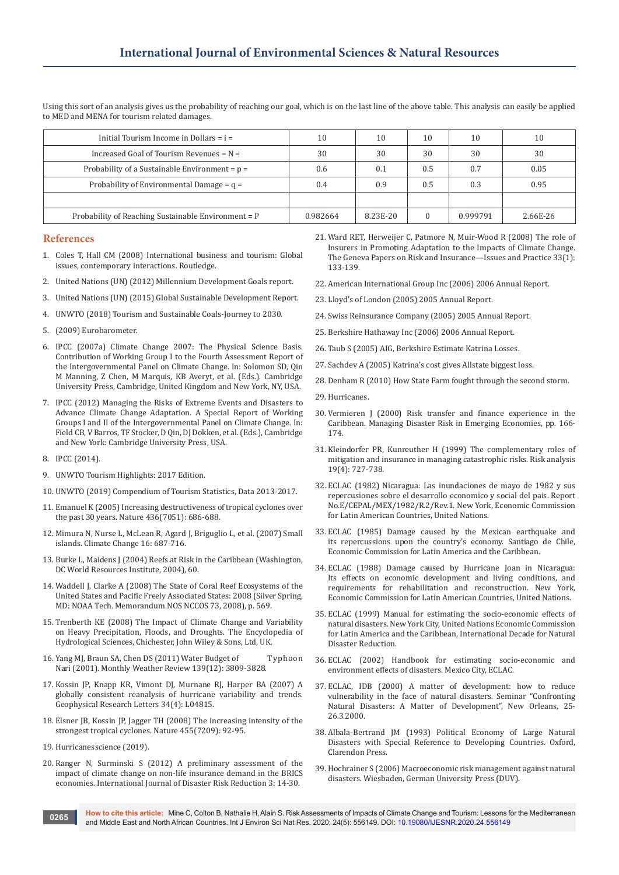Using this sort of an analysis gives us the probability of reaching our goal, which is on the last line of the above table. This analysis can easily be applied to MED and MENA for tourism related damages.

| Initial Tourism Income in Dollars $=$ i $=$         | 10       | 10       | 10  | 10       | 10       |
|-----------------------------------------------------|----------|----------|-----|----------|----------|
| Increased Goal of Tourism Revenues $= N =$          | 30       | 30       | 30  | 30       | 30       |
| Probability of a Sustainable Environment = $p =$    | 0.6      | 0.1      | 0.5 | 0.7      | 0.05     |
| Probability of Environmental Damage = $q =$         | 0.4      | 0.9      | 0.5 | 0.3      | 0.95     |
|                                                     |          |          |     |          |          |
| Probability of Reaching Sustainable Environment = P | 0.982664 | 8.23E-20 |     | 0.999791 | 2.66E-26 |

#### **References**

- 1. Coles T, Hall CM (2008) International business and tourism: Global issues, contemporary interactions. Routledge.
- 2. [United Nations \(UN\) \(2012\) Millennium Development Goals report.](https://www.un.org/en/development/desa/publications/mdg-report-2012.html)
- 3. [United Nations \(UN\) \(2015\) Global Sustainable Development Report.](https://www.un.org/en/development/desa/publications/global-sustainable-development-report-2015-edition.html)
- 4. [UNWTO \(2018\) Tourism and Sustainable Coals-Journey to 2030.](https://www.e-unwto.org/doi/book/10.18111/9789284419401)
- 5. [\(2009\) Eurobarometer.](http://ec.europa.eu/commfrontoffice/publicopinion/index.cfm/ResultDoc/download/DocumentKy/59215)
- 6. IPCC (2007a) Climate Change 2007: The Physical Science Basis. Contribution of Working Group I to the Fourth Assessment Report of the Intergovernmental Panel on Climate Change. In: Solomon SD, Qin M Manning, Z Chen, M Marquis, KB Averyt, et al. (Eds.). Cambridge University Press, Cambridge, United Kingdom and New York, NY, USA.
- 7. IPCC (2012) Managing the Risks of Extreme Events and Disasters to Advance Climate Change Adaptation. A Special Report of Working Groups I and II of the Intergovernmental Panel on Climate Change. In: Field CB, V Barros, TF Stocker, D Qin, DJ Dokken, et al. (Eds.), Cambridge and New York: Cambridge University Press, USA.
- 8. [IPCC \(2014\).](https://www.ipcc.ch/site/assets/uploads/2018/02/AR5_SYR_FINAL_SPM.pdf)
- 9. [UNWTO Tourism Highlights: 2017 Edition.](https://www.unwto.org/publication/unwto-tourism-highlights-2017)
- 10. [UNWTO \(2019\) Compendium of Tourism Statistics, Data 2013-2017.](https://www.e-unwto.org/doi/book/10.18111/9789284420421)
- 11. [Emanuel K \(2005\) Increasing destructiveness of tropical cyclones over](https://www.nature.com/articles/nature03906)  [the past 30 years. Nature 436\(7051\): 686-688.](https://www.nature.com/articles/nature03906)
- 12. Mimura N, Nurse L, McLean R, Agard J, Briguglio L, et al. (2007) Small islands. Climate Change 16: 687-716.
- 13. Burke L, Maidens J (2004) Reefs at Risk in the Caribbean (Washington, DC World Resources Institute, 2004), 60.
- 14. Waddell J, Clarke A (2008) The State of Coral Reef Ecosystems of the United States and Pacific Freely Associated States: 2008 (Silver Spring, MD: NOAA Tech. Memorandum NOS NCCOS 73, 2008), p. 569.
- 15. Trenberth KE (2008) The Impact of Climate Change and Variability on Heavy Precipitation, Floods, and Droughts. The Encyclopedia of Hydrological Sciences, Chichester, John Wiley & Sons, Ltd, UK.
- 16. [Yang MJ, Braun SA, Chen DS \(2011\) Water Budget of](https://journals.ametsoc.org/doi/full/10.1175/MWR-D-10-05090.1?mobileUi=0) Typhoon [Nari \(2001\). Monthly Weather Review 139\(12\): 3809-3828.](https://journals.ametsoc.org/doi/full/10.1175/MWR-D-10-05090.1?mobileUi=0)
- 17. [Kossin JP, Knapp KR, Vimont DJ, Murnane RJ, Harper BA \(2007\) A](https://agupubs.onlinelibrary.wiley.com/doi/full/10.1029/2006GL028836)  [globally consistent reanalysis of hurricane variability and trends.](https://agupubs.onlinelibrary.wiley.com/doi/full/10.1029/2006GL028836)  [Geophysical Research Letters 34\(4\): L04815.](https://agupubs.onlinelibrary.wiley.com/doi/full/10.1029/2006GL028836)
- 18. [Elsner JB, Kossin JP, Jagger TH \(2008\) The increasing intensity of the](https://www.nature.com/articles/nature07234)  [strongest tropical cyclones. Nature 455\(7209\): 92-95.](https://www.nature.com/articles/nature07234)
- 19. [Hurricanesscience \(2019\).](http://www.hurricanescience.org/science/forecast/models/modeltypes/)
- 20. [Ranger N, Surminski S \(2012\) A preliminary assessment of the](https://www.sciencedirect.com/science/article/abs/pii/S2212420912000404)  [impact of climate change on non-life insurance demand in the BRICS](https://www.sciencedirect.com/science/article/abs/pii/S2212420912000404)  [economies. International Journal of Disaster Risk Reduction 3: 14-30.](https://www.sciencedirect.com/science/article/abs/pii/S2212420912000404)
- 21. [Ward RET, Herweijer C, Patmore N, Muir-Wood R \(2008\) The role of](https://link.springer.com/article/10.1057/palgrave.gpp.2510153)  [Insurers in Promoting Adaptation to the Impacts of Climate Change.](https://link.springer.com/article/10.1057/palgrave.gpp.2510153)  [The Geneva Papers on Risk and Insurance—Issues and Practice 33\(1\):](https://link.springer.com/article/10.1057/palgrave.gpp.2510153)  [133-139.](https://link.springer.com/article/10.1057/palgrave.gpp.2510153)
- 22. [American International Group Inc \(2006\) 2006 Annual Report.](https://www.aig.com/individual)
- 23. [Lloyd's of London \(2005\) 2005 Annual Report.](https://www.lloyds.com/sitecore/service/notfound.aspx)
- 24. [Swiss Reinsurance Company \(2005\) 2005 Annual Report.](https://media.swissre.com/documents/624b6d00455c6d3f8f87bf80a45d76a0-ar05_summary_en.pdf)
- 25. [Berkshire Hathaway Inc \(2006\) 2006 Annual Report.](http://www.berkshirehathaway.com/2006ar/2006ar.pdf)
- 26. Taub S (2005) AIG, Berkshire Estimate Katrina Losses.
- 27. [Sachdev A \(2005\) Katrina's cost gives Allstate biggest loss.](https://www.chicagotribune.com/news/ct-xpm-2005-10-20-0510200034-story.html)
- 28. [Denham R \(2010\) How State Farm fought through the second storm.](https://www.pantagraph.com/business/local/how-state-farm-fought-through-the-second-storm/article_49ce08d8-abd4-11df-9fe7-001cc4c03286.html)
- 29. [Hurricanes.](http://www.iii.org/fact-statistic/hurricanes)
- 30. [Vermieren J \(2000\) Risk transfer and finance experience in the](https://www.oas.org/cdmp/document/papers/riskxfer.htm)  [Caribbean. Managing Disaster Risk in Emerging Economies, pp. 166-](https://www.oas.org/cdmp/document/papers/riskxfer.htm) [174.](https://www.oas.org/cdmp/document/papers/riskxfer.htm)
- 31. [Kleindorfer PR, Kunreuther H \(1999\) The complementary roles of](https://link.springer.com/article/10.1023/A:1007097906602)  [mitigation and insurance in managing catastrophic risks. Risk analysis](https://link.springer.com/article/10.1023/A:1007097906602)  [19\(4\): 727-738.](https://link.springer.com/article/10.1023/A:1007097906602)
- 32. ECLAC (1982) Nicaragua: Las inundaciones de mayo de 1982 y sus repercusiones sobre el desarrollo economico y social del pais. Report No.E/CEPAL/MEX/1982/R.2/Rev.1. New York, Economic Commission for Latin American Countries, United Nations.
- 33. ECLAC (1985) Damage caused by the Mexican earthquake and its repercussions upon the country's economy. Santiago de Chile, Economic Commission for Latin America and the Caribbean.
- 34. ECLAC (1988) Damage caused by Hurricane Joan in Nicaragua: Its effects on economic development and living conditions, and requirements for rehabilitation and reconstruction. New York, Economic Commission for Latin American Countries, United Nations.
- 35. ECLAC (1999) Manual for estimating the socio-economic effects of natural disasters. New York City, United Nations Economic Commission for Latin America and the Caribbean, International Decade for Natural Disaster Reduction.
- 36. ECLAC (2002) Handbook for estimating socio-economic and environment effects of disasters. Mexico City, ECLAC.
- 37. ECLAC, IDB (2000) A matter of development: how to reduce vulnerability in the face of natural disasters. Seminar "Confronting Natural Disasters: A Matter of Development", New Orleans, 25- 26.3.2000.
- 38. Albala-Bertrand JM (1993) Political Economy of Large Natural Disasters with Special Reference to Developing Countries. Oxford, Clarendon Press.
- 39. Hochrainer S (2006) Macroeconomic risk management against natural disasters. Wiesbaden, German University Press (DUV).